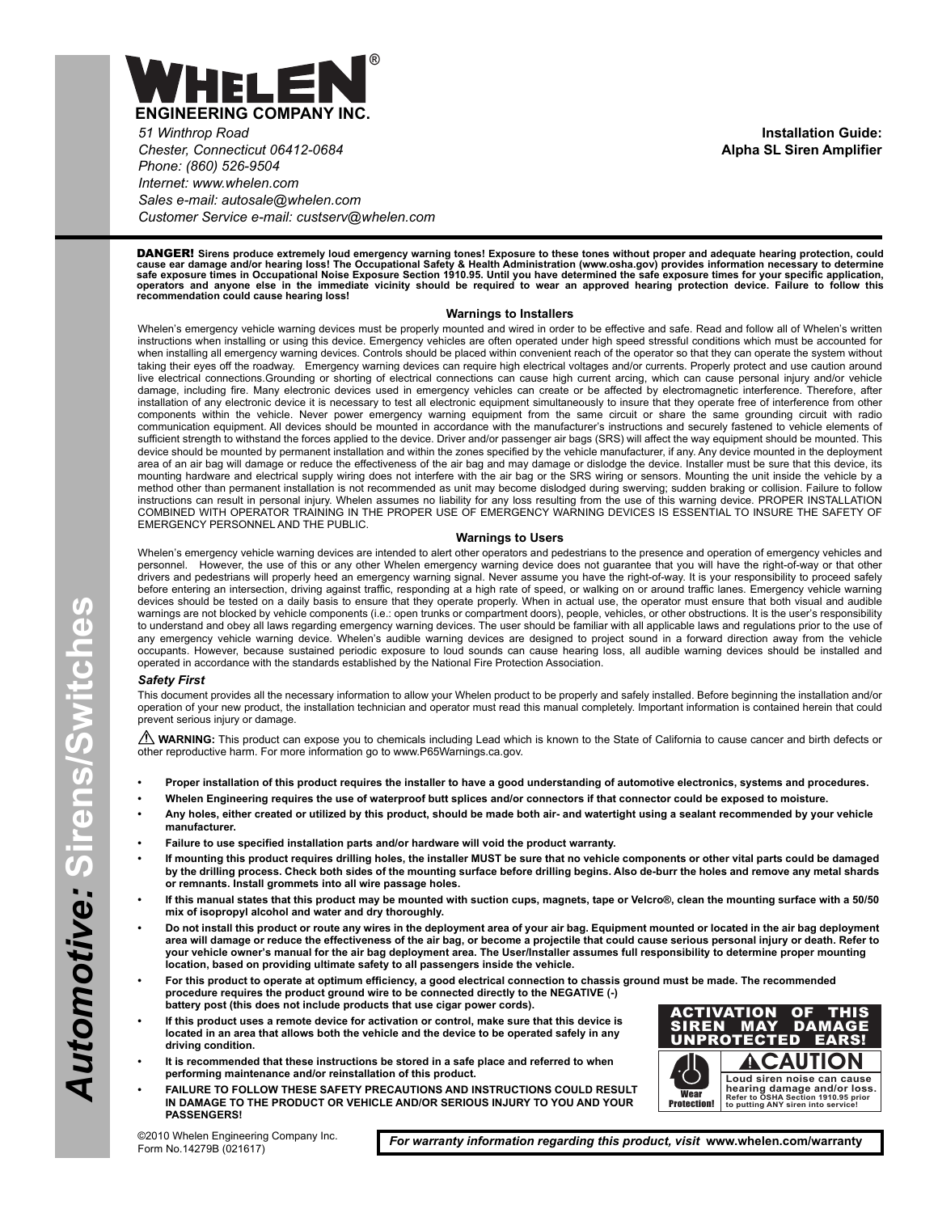

*51 Winthrop Road Chester, Connecticut 06412-0684 Phone: (860) 526-9504 Internet: www.whelen.com Sales e-mail: autosale@whelen.com Customer Service e-mail: custserv@whelen.com*

**Installation Guide: Alpha SL Siren Amplifier**

DANGER! **Sirens produce extremely loud emergency warning tones! Exposure to these tones without proper and adequate hearing protection, could** cause ear damage and/or hearing loss! The Occupational Safety & Health Administration (www.osha.gov) provides information necessary to determine<br>safe exposure times in Occupational Noise Exposure Section 1910.95. Until you

#### **Warnings to Installers**

Whelen's emergency vehicle warning devices must be properly mounted and wired in order to be effective and safe. Read and follow all of Whelen's written instructions when installing or using this device. Emergency vehicles are often operated under high speed stressful conditions which must be accounted for when installing all emergency warning devices. Controls should be placed within convenient reach of the operator so that they can operate the system without taking their eyes off the roadway. Emergency warning devices can require high electrical voltages and/or currents. Properly protect and use caution around live electrical connections.Grounding or shorting of electrical connections can cause high current arcing, which can cause personal injury and/or vehicle damage, including fire. Many electronic devices used in emergency vehicles can create or be affected by electromagnetic interference. Therefore, after installation of any electronic device it is necessary to test all electronic equipment simultaneously to insure that they operate free of interference from other components within the vehicle. Never power emergency warning equipment from the same circuit or share the same grounding circuit with radio communication equipment. All devices should be mounted in accordance with the manufacturer's instructions and securely fastened to vehicle elements of sufficient strength to withstand the forces applied to the device. Driver and/or passenger air bags (SRS) will affect the way equipment should be mounted. This device should be mounted by permanent installation and within the zones specified by the vehicle manufacturer, if any. Any device mounted in the deployment area of an air bag will damage or reduce the effectiveness of the air bag and may damage or dislodge the device. Installer must be sure that this device, its mounting hardware and electrical supply wiring does not interfere with the air bag or the SRS wiring or sensors. Mounting the unit inside the vehicle by a method other than permanent installation is not recommended as unit may become dislodged during swerving; sudden braking or collision. Failure to follow instructions can result in personal injury. Whelen assumes no liability for any loss resulting from the use of this warning device. PROPER INSTALLATION COMBINED WITH OPERATOR TRAINING IN THE PROPER USE OF EMERGENCY WARNING DEVICES IS ESSENTIAL TO INSURE THE SAFETY OF EMERGENCY PERSONNEL AND THE PUBLIC.

#### **Warnings to Users**

Whelen's emergency vehicle warning devices are intended to alert other operators and pedestrians to the presence and operation of emergency vehicles and<br>personnel. However, the use of this or any other Whelen emergency war However, the use of this or any other Whelen emergency warning device does not guarantee that you will have the right-of-way or that other drivers and pedestrians will properly heed an emergency warning signal. Never assume you have the right-of-way. It is your responsibility to proceed safely before entering an intersection, driving against traffic, responding at a high rate of speed, or walking on or around traffic lanes. Emergency vehicle warning devices should be tested on a daily basis to ensure that they operate properly. When in actual use, the operator must ensure that both visual and audible warnings are not blocked by vehicle components (i.e.: open trunks or compartment doors), people, vehicles, or other obstructions. It is the user's responsibility to understand and obey all laws regarding emergency warning devices. The user should be familiar with all applicable laws and regulations prior to the use of any emergency vehicle warning device. Whelen's audible warning devices are designed to project sound in a forward direction away from the vehicle occupants. However, because sustained periodic exposure to loud sounds can cause hearing loss, all audible warning devices should be installed and operated in accordance with the standards established by the National Fire Protection Association.

#### *Safety First*

This document provides all the necessary information to allow your Whelen product to be properly and safely installed. Before beginning the installation and/or operation of your new product, the installation technician and operator must read this manual completely. Important information is contained herein that could prevent serious injury or damage.

WARNING: This product can expose you to chemicals including Lead which is known to the State of California to cause cancer and birth defects or other reproductive harm. For more information go to www.P65Warnings.ca.gov.

- **Proper installation of this product requires the installer to have a good understanding of automotive electronics, systems and procedures.**
- **Whelen Engineering requires the use of waterproof butt splices and/or connectors if that connector could be exposed to moisture.**
- **Any holes, either created or utilized by this product, should be made both air- and watertight using a sealant recommended by your vehicle manufacturer.**
- **Failure to use specified installation parts and/or hardware will void the product warranty.**
- **If mounting this product requires drilling holes, the installer MUST be sure that no vehicle components or other vital parts could be damaged by the drilling process. Check both sides of the mounting surface before drilling begins. Also de-burr the holes and remove any metal shards or remnants. Install grommets into all wire passage holes.**
- **If this manual states that this product may be mounted with suction cups, magnets, tape or Velcro®, clean the mounting surface with a 50/50 mix of isopropyl alcohol and water and dry thoroughly.**
- **Do not install this product or route any wires in the deployment area of your air bag. Equipment mounted or located in the air bag deployment area will damage or reduce the effectiveness of the air bag, or become a projectile that could cause serious personal injury or death. Refer to your vehicle owner's manual for the air bag deployment area. The User/Installer assumes full responsibility to determine proper mounting location, based on providing ultimate safety to all passengers inside the vehicle.**
- **For this product to operate at optimum efficiency, a good electrical connection to chassis ground must be made. The recommended procedure requires the product ground wire to be connected directly to the NEGATIVE (-) battery post (this does not include products that use cigar power cords).**
- **If this product uses a remote device for activation or control, make sure that this device is located in an area that allows both the vehicle and the device to be operated safely in any driving condition.**
- **It is recommended that these instructions be stored in a safe place and referred to when performing maintenance and/or reinstallation of this product.**
- **FAILURE TO FOLLOW THESE SAFETY PRECAUTIONS AND INSTRUCTIONS COULD RESULT IN DAMAGE TO THE PRODUCT OR VEHICLE AND/OR SERIOUS INJURY TO YOU AND YOUR PASSENGERS!**



©2010 Whelen Engineering Company Inc. Form No.14279B (021617)

*For warranty information regarding this product, visit* **www.whelen.com/warranty**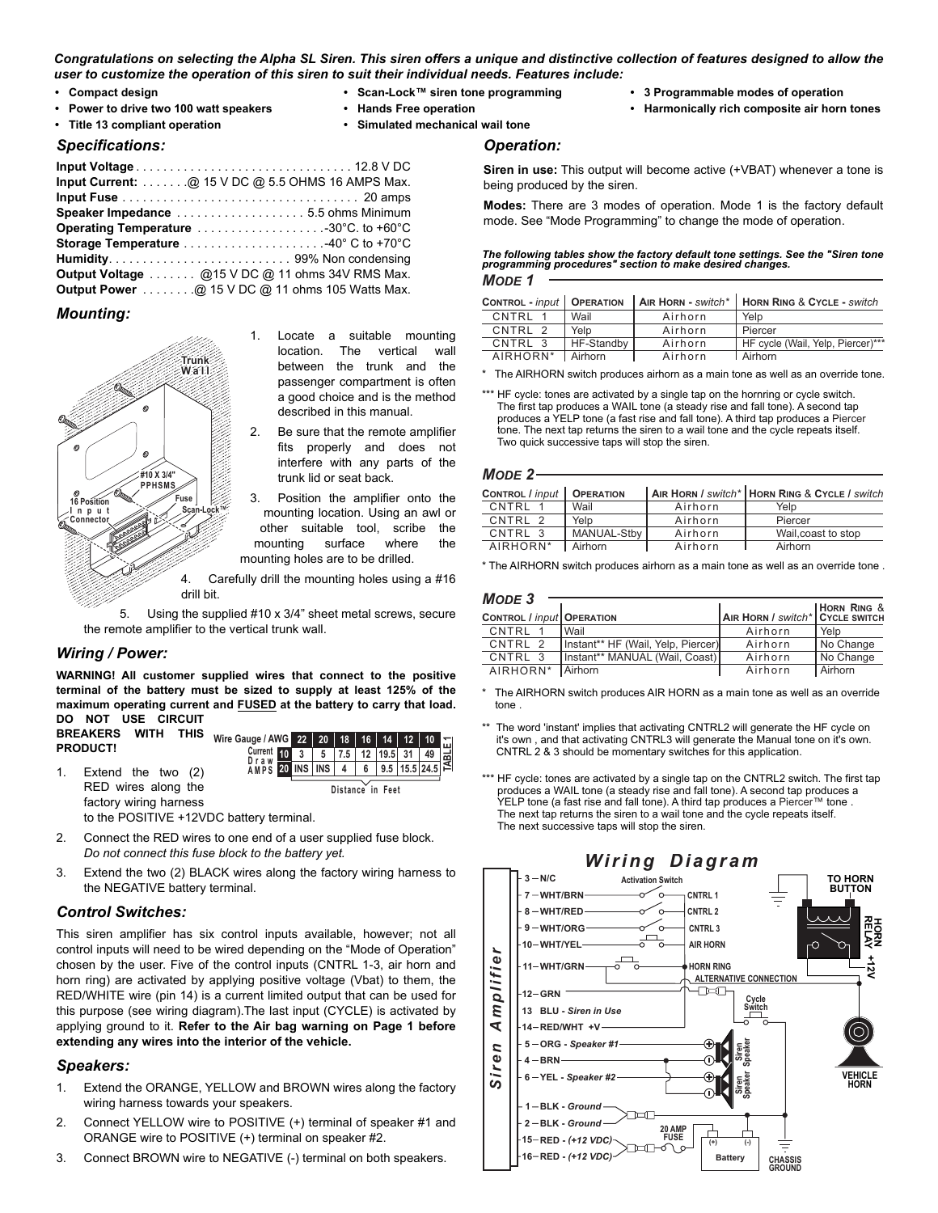#### *Congratulations on selecting the Alpha SL Siren. This siren offers a unique and distinctive collection of features designed to allow the user to customize the operation of this siren to suit their individual needs. Features include:*

- **Compact design**
- **Scan-Lock™ siren tone programming**
- **Power to drive two 100 watt speakers**
- **Title 13 compliant operation**
- **Hands Free operation**
- **Simulated mechanical wail tone**

### *Specifications:*

| Input Current: $\ldots$ @ 15 V DC @ 5.5 OHMS 16 AMPS Max. |  |
|-----------------------------------------------------------|--|
|                                                           |  |
| Speaker Impedance 5.5 ohms Minimum                        |  |
| Operating Temperature 30°C. to +60°C                      |  |
|                                                           |  |
|                                                           |  |
| Output Voltage @15 V DC @ 11 ohms 34V RMS Max.            |  |
| Output Power @ 15 V DC @ 11 ohms 105 Watts Max.           |  |

# *Mounting:*



- 1. Locate a suitable mounting location. The vertical wall between the trunk and the passenger compartment is often a good choice and is the method described in this manual.
- 2. Be sure that the remote amplifier fits properly and does not interfere with any parts of the trunk lid or seat back.
- 3. Position the amplifier onto the mounting location. Using an awl or other suitable tool, scribe the mounting surface where the mounting holes are to be drilled.

4. Carefully drill the mounting holes using a #16

Using the supplied #10 x 3/4" sheet metal screws, secure the remote amplifier to the vertical trunk wall.

# *Wiring / Power:*

**WARNING! All customer supplied wires that connect to the positive terminal of the battery must be sized to supply at least 125% of the maximum operating current and FUSED at the battery to carry that load. DO NOT USE CIRCUIT**

**BREAKERS WITH THIS PRODUCT!**

1. Extend the two (2) RED wires along the factory wiring harness



to the POSITIVE +12VDC battery terminal.

- 2. Connect the RED wires to one end of a user supplied fuse block. *Do not connect this fuse block to the battery yet.*
- 3. Extend the two (2) BLACK wires along the factory wiring harness to the NEGATIVE battery terminal.

# *Control Switches:*

This siren amplifier has six control inputs available, however; not all control inputs will need to be wired depending on the "Mode of Operation" chosen by the user. Five of the control inputs (CNTRL 1-3, air horn and horn ring) are activated by applying positive voltage (Vbat) to them, the RED/WHITE wire (pin 14) is a current limited output that can be used for this purpose (see wiring diagram).The last input (CYCLE) is activated by applying ground to it. **Refer to the Air bag warning on Page 1 before extending any wires into the interior of the vehicle.**

# *Speakers:*

- 1. Extend the ORANGE, YELLOW and BROWN wires along the factory wiring harness towards your speakers.
- 2. Connect YELLOW wire to POSITIVE (+) terminal of speaker #1 and ORANGE wire to POSITIVE (+) terminal on speaker #2.
- 3. Connect BROWN wire to NEGATIVE (-) terminal on both speakers.
- **3 Programmable modes of operation**
- **Harmonically rich composite air horn tones**

## *Operation:*

**Siren in use:** This output will become active (+VBAT) whenever a tone is being produced by the siren.

**Modes:** There are 3 modes of operation. Mode 1 is the factory default mode. See "Mode Programming" to change the mode of operation.

# *MODE 1 The following tables show the factory default tone settings. See the "Siren tone programming procedures" section to make desired changes.*

| <b>CONTROL - input   OPERATION</b> |            |         | $\vert$ AIR HORN - switch*   HORN RING & CYCLE - switch |
|------------------------------------|------------|---------|---------------------------------------------------------|
| CNTRI 1                            | Wail       | Airhorn | Yelp                                                    |
| CNTRI <sub>2</sub>                 | Yelp       | Airhorn | Piercer                                                 |
| CNTRI 3                            | HF-Standby | Airhorn | HF cycle (Wail, Yelp, Piercer)***                       |
| AIRHORN <sup>*</sup> Airhorn       |            | Airhorn | l Airhorn                                               |

The AIRHORN switch produces airhorn as a main tone as well as an override tone.

# *MODE 2*

| CONTROL / input    | <b>OPERATION</b> |         | AIR HORN / switch* HORN RING & CYCLE / switch |
|--------------------|------------------|---------|-----------------------------------------------|
| CNTRL              | Wail             | Airhorn | Yelp                                          |
| CNTRI <sub>2</sub> | Yelp             | Airhorn | Piercer                                       |
| CNTRI 3            | MANUAL-Stby      | Airhorn | Wail, coast to stop                           |
| AIRHORN*           | Airhorn          | Airhorn | Airhorn                                       |

\* The AIRHORN switch produces airhorn as a main tone as well as an override tone .

| MODE <sub>3</sub>                       |                                    |                                 |                |
|-----------------------------------------|------------------------------------|---------------------------------|----------------|
|                                         |                                    |                                 | HORN RING &    |
| <b>CONTROL</b> / input <b>OPERATION</b> |                                    | AIR HORN / switch* CYCLE SWITCH |                |
| CNTRL 1                                 | l Wail                             | Airhorn                         | Yelp           |
| CNTRI 2                                 | Instant** HF (Wail, Yelp, Piercer) | Airhorn                         | No Change      |
| CNTRL 3                                 | Instant** MANUAL (Wail, Coast)     | Airhorn                         | No Change      |
| AIRHORN*                                | <b>Airhorn</b>                     | Airhorn                         | <b>Airhorn</b> |

 $*$  The AIRHORN switch produces AIR HORN as a main tone as well as an override tone .

- The word 'instant' implies that activating CNTRL2 will generate the HF cycle on it's own , and that activating CNTRL3 will generate the Manual tone on it's own. CNTRL 2 & 3 should be momentary switches for this application.
- \*\*\* HF cycle: tones are activated by a single tap on the CNTRL2 switch. The first tap produces a WAIL tone (a steady rise and fall tone). A second tap produces a YELP tone (a fast rise and fall tone). A third tap produces a Piercer™ tone. The next tap returns the siren to a wail tone and the cycle repeats itself. The next successive taps will stop the siren.



<sup>\*\*\*</sup> HF cycle: tones are activated by a single tap on the hornring or cycle switch. The first tap produces a WAIL tone (a steady rise and fall tone). A second tap produces a YELP tone (a fast rise and fall tone). A third tap produces a Piercer tone. The next tap returns the siren to a wail tone and the cycle repeats itself. Two quick successive taps will stop the siren.